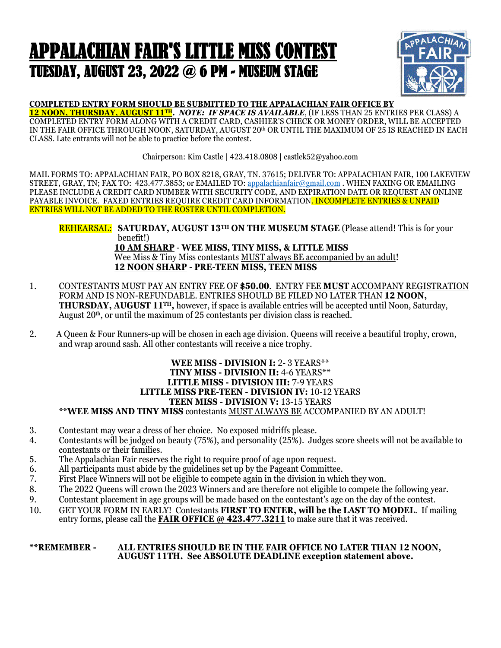## APPALACHIAN FAIR'S LITTLE MISS CONTEST TUESDAY, AUGUST 23, 2022 @ 6 PM - MUSEUM STAGE



### **COMPLETED ENTRY FORM SHOULD BE SUBMITTED TO THE APPALACHIAN FAIR OFFICE BY**

**12 NOON, THURSDAY, AUGUST 11TH.** *NOTE: IF SPACE IS AVAILABLE*, (IF LESS THAN 25 ENTRIES PER CLASS) A COMPLETED ENTRY FORM ALONG WITH A CREDIT CARD, CASHIER'S CHECK OR MONEY ORDER, WILL BE ACCEPTED IN THE FAIR OFFICE THROUGH NOON, SATURDAY, AUGUST 20<sup>th</sup> OR UNTIL THE MAXIMUM OF 25 IS REACHED IN EACH CLASS. Late entrants will not be able to practice before the contest.

Chairperson: Kim Castle | 423.418.0808 | castlek52@yahoo.com

MAIL FORMS TO: APPALACHIAN FAIR, PO BOX 8218, GRAY, TN. 37615; DELIVER TO: APPALACHIAN FAIR, 100 LAKEVIEW STREET, GRAY, TN; FAX TO: 423.477.3853; or EMAILED TO: appalachianfair@gmail.com . WHEN FAXING OR EMAILING PLEASE INCLUDE A CREDIT CARD NUMBER WITH SECURITY CODE, AND EXPIRATION DATE OR REQUEST AN ONLINE PAYABLE INVOICE. FAXED ENTRIES REQUIRE CREDIT CARD INFORMATION. INCOMPLETE ENTRIES & UNPAID ENTRIES WILL NOT BE ADDED TO THE ROSTER UNTIL COMPLETION.

REHEARSAL: **SATURDAY, AUGUST 13TH ON THE MUSEUM STAGE** (Please attend! This is for your benefit!) **10 AM SHARP** - **WEE MISS, TINY MISS, & LITTLE MISS** Wee Miss & Tiny Miss contestants MUST always BE accompanied by an adult! **12 NOON SHARP - PRE-TEEN MISS, TEEN MISS**

- 1. CONTESTANTS MUST PAY AN ENTRY FEE OF **\$50.00**. ENTRY FEE **MUST** ACCOMPANY REGISTRATION FORM AND IS NON-REFUNDABLE. ENTRIES SHOULD BE FILED NO LATER THAN **12 NOON, THURSDAY, AUGUST 11TH,** however, if space is available entries will be accepted until Noon, Saturday, August  $20<sup>th</sup>$ , or until the maximum of 25 contestants per division class is reached.
- 2. A Queen & Four Runners-up will be chosen in each age division. Queens will receive a beautiful trophy, crown, and wrap around sash. All other contestants will receive a nice trophy.

#### **WEE MISS - DIVISION I:** 2- 3 YEARS\*\* **TINY MISS - DIVISION II:** 4-6 YEARS\*\* **LITTLE MISS - DIVISION III:** 7-9 YEARS **LITTLE MISS PRE-TEEN - DIVISION IV:** 10-12 YEARS **TEEN MISS - DIVISION V:** 13-15 YEARS \*\***WEE MISS AND TINY MISS** contestants MUST ALWAYS BE ACCOMPANIED BY AN ADULT!

- 3. Contestant may wear a dress of her choice. No exposed midriffs please.<br>4. Contestants will be judged on beauty (75%), and personality (25%). Ju
- 4. Contestants will be judged on beauty (75%), and personality (25%). Judges score sheets will not be available to contestants or their families.
- 5. The Appalachian Fair reserves the right to require proof of age upon request.
- 6. All participants must abide by the guidelines set up by the Pageant Committee.<br>
7. First Place Winners will not be eligible to compete again in the division in which
- First Place Winners will not be eligible to compete again in the division in which they won.
- 8. The 2022 Queens will crown the 2023 Winners and are therefore not eligible to compete the following year.<br>9. Contestant placement in age groups will be made based on the contestant's age on the day of the contest.
- 9. Contestant placement in age groups will be made based on the contestant's age on the day of the contest.
- 10. GET YOUR FORM IN EARLY! Contestants **FIRST TO ENTER, will be the LAST TO MODEL**. If mailing entry forms, please call the **FAIR OFFICE @ 423.477.3211** to make sure that it was received.

#### **\*\*REMEMBER - ALL ENTRIES SHOULD BE IN THE FAIR OFFICE NO LATER THAN 12 NOON, AUGUST 11TH. See ABSOLUTE DEADLINE exception statement above.**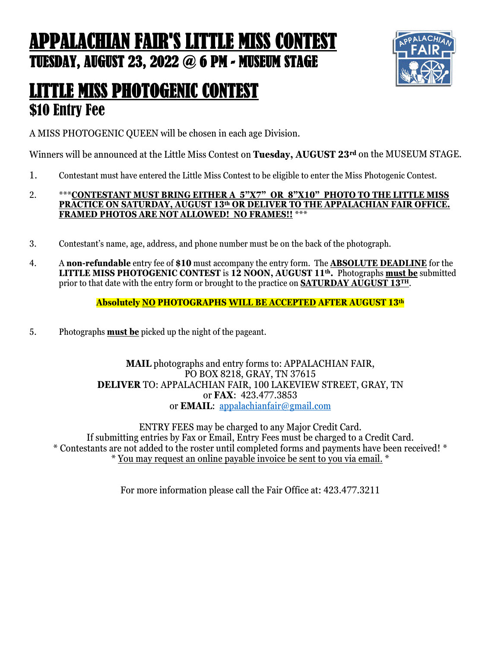## APPALACHIAN FAIR'S LITTLE MISS CONTEST TUESDAY, AUGUST 23, 2022 @ 6 PM - MUSEUM STAGE



### LITTLE MISS PHOTOGENIC CONTEST \$10 Entry Fee

A MISS PHOTOGENIC QUEEN will be chosen in each age Division.

Winners will be announced at the Little Miss Contest on **Tuesday, AUGUST 23rd** on the MUSEUM STAGE.

- 1. Contestant must have entered the Little Miss Contest to be eligible to enter the Miss Photogenic Contest.
- 2. \*\*\***CONTESTANT MUST BRING EITHER A 5"X7" OR 8"X10" PHOTO TO THE LITTLE MISS PRACTICE ON SATURDAY, AUGUST 13th OR DELIVER TO THE APPALACHIAN FAIR OFFICE. FRAMED PHOTOS ARE NOT ALLOWED! NO FRAMES!!** \*\*\*
- 3. Contestant's name, age, address, and phone number must be on the back of the photograph.
- 4. A **non-refundable** entry fee of **\$10** must accompany the entry form. The **ABSOLUTE DEADLINE** for the **LITTLE MISS PHOTOGENIC CONTEST** is **12 NOON, AUGUST 11th.** Photographs **must be** submitted prior to that date with the entry form or brought to the practice on **SATURDAY AUGUST 13TH**.

**Absolutely NO PHOTOGRAPHS WILL BE ACCEPTED AFTER AUGUST 13th**

5. Photographs **must be** picked up the night of the pageant.

**MAIL** photographs and entry forms to: APPALACHIAN FAIR, PO BOX 8218, GRAY, TN 37615 **DELIVER** TO: APPALACHIAN FAIR, 100 LAKEVIEW STREET, GRAY, TN or **FAX**: 423.477.3853 or **EMAIL**: appalachianfair@gmail.com

ENTRY FEES may be charged to any Major Credit Card. If submitting entries by Fax or Email, Entry Fees must be charged to a Credit Card. \* Contestants are not added to the roster until completed forms and payments have been received! \* \* You may request an online payable invoice be sent to you via email. \*

For more information please call the Fair Office at: 423.477.3211